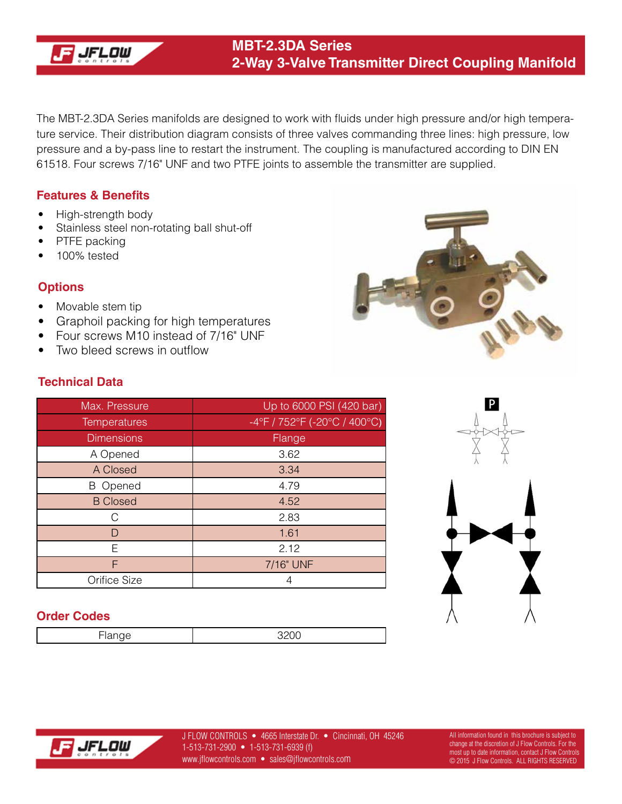

The MBT-2.3DA Series manifolds are designed to work with fluids under high pressure and/or high temperature service. Their distribution diagram consists of three valves commanding three lines: high pressure, low pressure and a by-pass line to restart the instrument. The coupling is manufactured according to DIN EN 61518. Four screws 7/16" UNF and two PTFE joints to assemble the transmitter are supplied.

#### **Features & Benefits**

- High-strength body
- Stainless steel non-rotating ball shut-off
- PTFE packing
- 100% tested

### **Options**

- Movable stem tip
- Graphoil packing for high temperatures
- Four screws M10 instead of 7/16" UNF
- Two bleed screws in outflow

## **Technical Data**

| Max. Pressure       | Up to 6000 PSI (420 bar)                                                |  |
|---------------------|-------------------------------------------------------------------------|--|
| <b>Temperatures</b> | $-4^{\circ}$ F / 752 $^{\circ}$ F (-20 $^{\circ}$ C / 400 $^{\circ}$ C) |  |
| <b>Dimensions</b>   | Flange                                                                  |  |
| A Opened            | 3.62                                                                    |  |
| A Closed            | 3.34                                                                    |  |
| <b>B</b> Opened     | 4.79                                                                    |  |
| <b>B</b> Closed     | 4.52                                                                    |  |
| C                   | 2.83                                                                    |  |
| D                   | 1.61                                                                    |  |
| F                   | 2.12                                                                    |  |
| F                   | 7/16" UNF                                                               |  |
| Orifice Size        | 4                                                                       |  |



#### **Order Codes**

Flange and the set of the set of the set of the set of the set of the set of the set of the set of the set of the set of the set of the set of the set of the set of the set of the set of the set of the set of the set of th